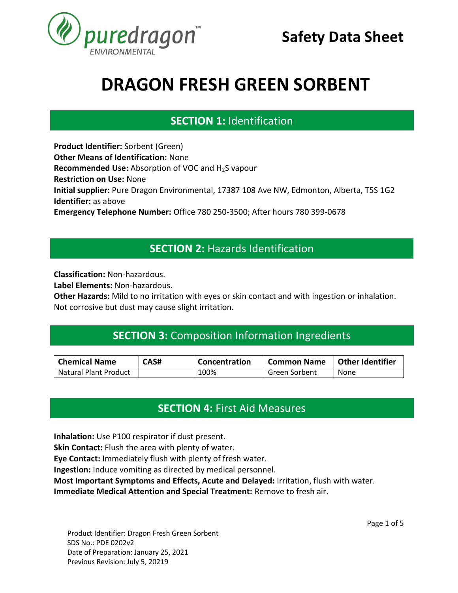

# **SECTION 1:** Identification **SECTION 1. IDENTIFICATION**

**Product Identifier:** Sorbent (Green) **Other Means of Identification:** None **Recommended Use:** Absorption of VOC and H<sub>2</sub>S vapour **Restriction on Use:** None **Initial supplier:** Pure Dragon Environmental, 17387 108 Ave NW, Edmonton, Alberta, T5S 1G2 **Identifier:** as above **Emergency Telephone Number:** Office 780 250-3500; After hours 780 399-0678 **SECTION 1. IDENTIFICATION**

### **SECTION 2:** Hazards Identification **SECTION 1. IDENTIFICATION**

**Classification:** Non-hazardous.

**Label Elements:** Non-hazardous.

**Other Hazards:** Mild to no irritation with eyes or skin contact and with ingestion or inhalation. Not corrosive but dust may cause slight irritation.

# **SECTION 3:** Composition Information Ingredients **SECTION 1. IDENTIFICATION**

| <b>Chemical Name</b>         | CAS# | Concentration | l Common Name | Other Identifier |
|------------------------------|------|---------------|---------------|------------------|
| <b>Natural Plant Product</b> |      | 100%          | Green Sorbent | None             |

# **SECTION 4:** First Aid Measures **SECTION 1. IDENTIFICATION**

**Inhalation:** Use P100 respirator if dust present.

**Skin Contact:** Flush the area with plenty of water.

**Eye Contact:** Immediately flush with plenty of fresh water.

**Ingestion:** Induce vomiting as directed by medical personnel.

**Most Important Symptoms and Effects, Acute and Delayed:** Irritation, flush with water.

**Immediate Medical Attention and Special Treatment:** Remove to fresh air.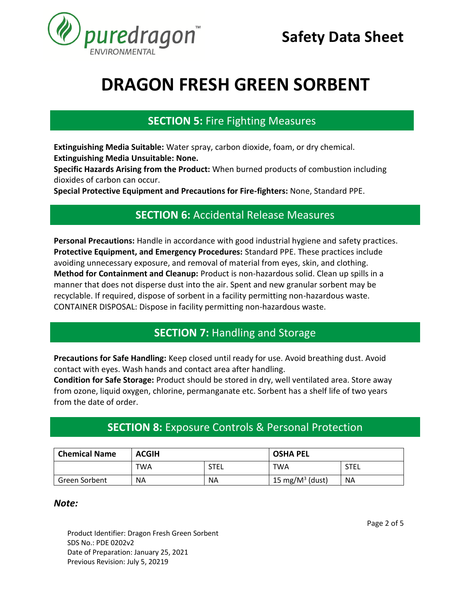

### **SECTION 5:** Fire Fighting Measures **SECTION 1. IDENTIFICATION**

**Extinguishing Media Suitable:** Water spray, carbon dioxide, foam, or dry chemical. **Extinguishing Media Unsuitable: None.** 

**Specific Hazards Arising from the Product:** When burned products of combustion including dioxides of carbon can occur.

**Special Protective Equipment and Precautions for Fire-fighters:** None, Standard PPE.

#### **SECTION 6:** Accidental Release Measures **SECTION 1. IDENTIFICATION**

**Personal Precautions:** Handle in accordance with good industrial hygiene and safety practices. **Protective Equipment, and Emergency Procedures:** Standard PPE. These practices include avoiding unnecessary exposure, and removal of material from eyes, skin, and clothing. **Method for Containment and Cleanup:** Product is non-hazardous solid. Clean up spills in a manner that does not disperse dust into the air. Spent and new granular sorbent may be recyclable. If required, dispose of sorbent in a facility permitting non-hazardous waste. CONTAINER DISPOSAL: Dispose in facility permitting non-hazardous waste.

#### **SECTION 7:** Handling and Storage **SECTION 1. IDENTIFICATION**

Precautions for Safe Handling: Keep closed until ready for use. Avoid breathing dust. Avoid contact with eyes. Wash hands and contact area after handling.

**Condition for Safe Storage:** Product should be stored in dry, well ventilated area. Store away from ozone, liquid oxygen, chlorine, permanganate etc. Sorbent has a shelf life of two years from the date of order.

### **SECTION 8:** Exposure Controls & Personal Protection **SECTION 1. IDENTIFICATION**

| <b>Chemical Name</b> | <b>ACGIH</b> |             | <b>OSHA PEL</b>     |             |
|----------------------|--------------|-------------|---------------------|-------------|
|                      | TWA          | <b>STEL</b> | TWA                 | <b>STEL</b> |
| Green Sorbent        | <b>NA</b>    | NA          | 15 mg/ $M^3$ (dust) | <b>NA</b>   |

#### *Note:*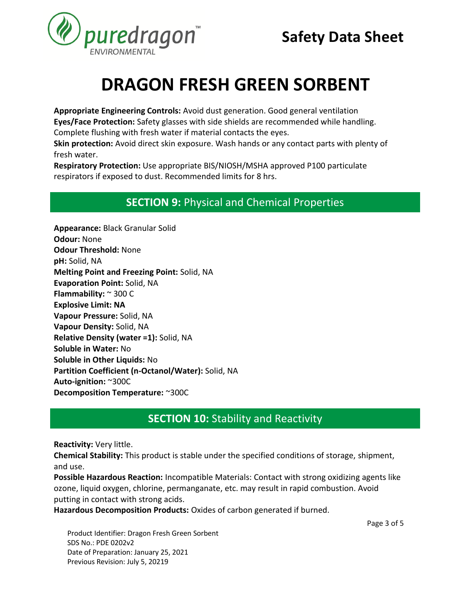

**Appropriate Engineering Controls:** Avoid dust generation. Good general ventilation **Eyes/Face Protection:** Safety glasses with side shields are recommended while handling. Complete flushing with fresh water if material contacts the eyes.

**Skin protection:** Avoid direct skin exposure. Wash hands or any contact parts with plenty of fresh water.

**Respiratory Protection:** Use appropriate BIS/NIOSH/MSHA approved P100 particulate respirators if exposed to dust. Recommended limits for 8 hrs.

# **SECTION 9:** Physical and Chemical Properties **SECTION 1. IDENTIFICATION**

**Appearance:** Black Granular Solid **Odour:** None **Odour Threshold:** None **pH:** Solid, NA **Melting Point and Freezing Point:** Solid, NA **Evaporation Point:** Solid, NA **Flammability:** ~ 300 C **Explosive Limit: NA Vapour Pressure:** Solid, NA **Vapour Density:** Solid, NA **Relative Density (water =1):** Solid, NA **Soluble in Water:** No **Soluble in Other Liquids:** No **Partition Coefficient (n-Octanol/Water):** Solid, NA **Auto-ignition:** ~300C **Decomposition Temperature:** ~300C

#### **SECTION 10:** Stability and Reactivity **SECTION 1. IDENTIFICATION**

**Reactivity:** Very little.

**Chemical Stability:** This product is stable under the specified conditions of storage, shipment, and use.

**Possible Hazardous Reaction:** Incompatible Materials: Contact with strong oxidizing agents like ozone, liquid oxygen, chlorine, permanganate, etc. may result in rapid combustion. Avoid putting in contact with strong acids.

**Hazardous Decomposition Products:** Oxides of carbon generated if burned.

Page 3 of 5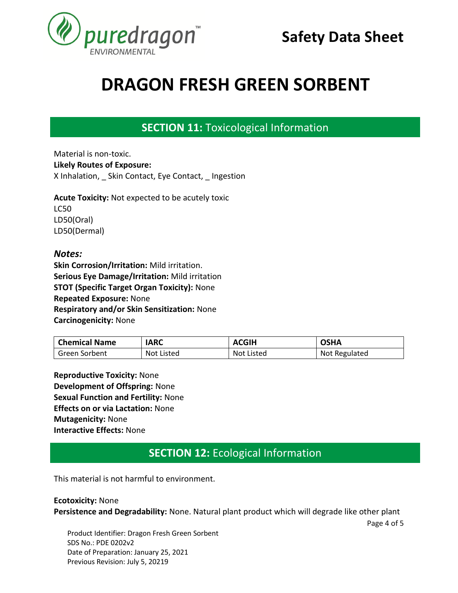

#### **SECTION 11:** Toxicological Information **SECTION 1. IDENTIFICATION**

Material is non-toxic. **Likely Routes of Exposure:**  X Inhalation, Skin Contact, Eye Contact, Ingestion

**Acute Toxicity:** Not expected to be acutely toxic LC50 LD50(Oral) LD50(Dermal)

#### *Notes:*

**Skin Corrosion/Irritation:** Mild irritation. **Serious Eye Damage/Irritation:** Mild irritation **STOT (Specific Target Organ Toxicity):** None **Repeated Exposure:** None **Respiratory and/or Skin Sensitization:** None **Carcinogenicity:** None

| <b>Chemical Name</b> | <b>IARC</b> | <b>ACGIH</b>      | OSHA          |
|----------------------|-------------|-------------------|---------------|
| l Green Sorbent      | Not Listed  | <b>Not Listed</b> | Not Regulated |

**Reproductive Toxicity:** None **Development of Offspring:** None **Sexual Function and Fertility:** None **Effects on or via Lactation:** None **Mutagenicity:** None **Interactive Effects:** None

#### **SECTION 12:** Ecological Information **SECTION 1. IDENTIFICATION**

This material is not harmful to environment.

**Ecotoxicity:** None **Persistence and Degradability:** None. Natural plant product which will degrade like other plant

Page 4 of 5